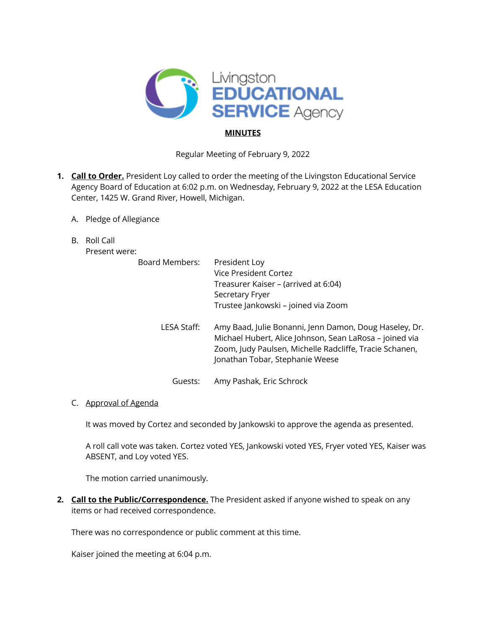

# **MINUTES**

Regular Meeting of February 9, 2022

- **1. Call to Order.** President Loy called to order the meeting of the Livingston Educational Service Agency Board of Education at 6:02 p.m. on Wednesday, February 9, 2022 at the LESA Education Center, 1425 W. Grand River, Howell, Michigan.
	- A. Pledge of Allegiance
	- B. Roll Call

Present were:

| <b>Board Members:</b> | President Loy<br>Vice President Cortez<br>Treasurer Kaiser – (arrived at 6:04)<br>Secretary Fryer<br>Trustee Jankowski - joined via Zoom                                                                        |
|-----------------------|-----------------------------------------------------------------------------------------------------------------------------------------------------------------------------------------------------------------|
| LESA Staff:           | Amy Baad, Julie Bonanni, Jenn Damon, Doug Haseley, Dr.<br>Michael Hubert, Alice Johnson, Sean LaRosa - joined via<br>Zoom, Judy Paulsen, Michelle Radcliffe, Tracie Schanen,<br>Jonathan Tobar, Stephanie Weese |
| Guests:               | Amy Pashak, Eric Schrock                                                                                                                                                                                        |

## C. Approval of Agenda

It was moved by Cortez and seconded by Jankowski to approve the agenda as presented.

A roll call vote was taken. Cortez voted YES, Jankowski voted YES, Fryer voted YES, Kaiser was ABSENT, and Loy voted YES.

The motion carried unanimously.

**2. Call to the Public/Correspondence.** The President asked if anyone wished to speak on any items or had received correspondence.

There was no correspondence or public comment at this time.

Kaiser joined the meeting at 6:04 p.m.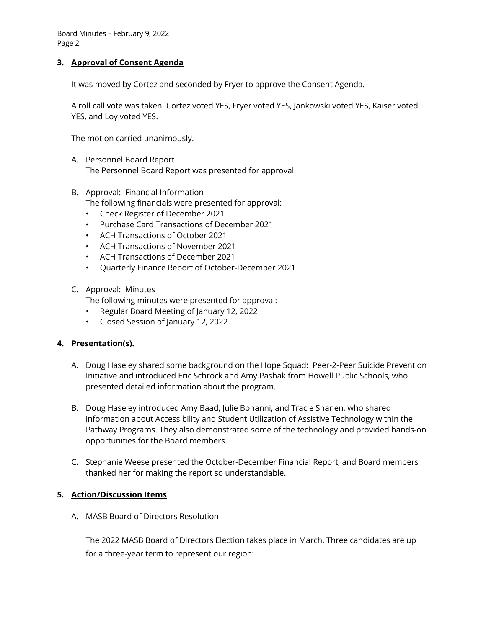Board Minutes – February 9, 2022 Page 2

## **3. Approval of Consent Agenda**

It was moved by Cortez and seconded by Fryer to approve the Consent Agenda.

A roll call vote was taken. Cortez voted YES, Fryer voted YES, Jankowski voted YES, Kaiser voted YES, and Loy voted YES.

The motion carried unanimously.

- A. Personnel Board Report The Personnel Board Report was presented for approval.
- B. Approval: Financial Information The following financials were presented for approval:
	- Check Register of December 2021
	- Purchase Card Transactions of December 2021
	- ACH Transactions of October 2021
	- ACH Transactions of November 2021
	- ACH Transactions of December 2021
	- Quarterly Finance Report of October-December 2021
- C. Approval: Minutes

The following minutes were presented for approval:

- Regular Board Meeting of January 12, 2022
- Closed Session of January 12, 2022

## **4. Presentation(s).**

- A. Doug Haseley shared some background on the Hope Squad: Peer-2-Peer Suicide Prevention Initiative and introduced Eric Schrock and Amy Pashak from Howell Public Schools, who presented detailed information about the program.
- B. Doug Haseley introduced Amy Baad, Julie Bonanni, and Tracie Shanen, who shared information about Accessibility and Student Utilization of Assistive Technology within the Pathway Programs. They also demonstrated some of the technology and provided hands-on opportunities for the Board members.
- C. Stephanie Weese presented the October-December Financial Report, and Board members thanked her for making the report so understandable.

## **5. Action/Discussion Items**

A. MASB Board of Directors Resolution

The 2022 MASB Board of Directors Election takes place in March. Three candidates are up for a three-year term to represent our region: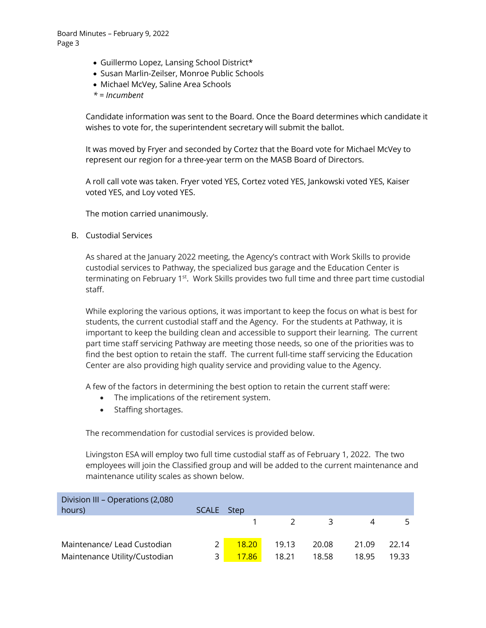- Guillermo Lopez, Lansing School District\*
- Susan Marlin-Zeilser, Monroe Public Schools
- Michael McVey, Saline Area Schools
- *\* = Incumbent*

Candidate information was sent to the Board. Once the Board determines which candidate it wishes to vote for, the superintendent secretary will submit the ballot.

It was moved by Fryer and seconded by Cortez that the Board vote for Michael McVey to represent our region for a three-year term on the MASB Board of Directors.

A roll call vote was taken. Fryer voted YES, Cortez voted YES, Jankowski voted YES, Kaiser voted YES, and Loy voted YES.

The motion carried unanimously.

B. Custodial Services

As shared at the January 2022 meeting, the Agency's contract with Work Skills to provide custodial services to Pathway, the specialized bus garage and the Education Center is terminating on February 1<sup>st</sup>. Work Skills provides two full time and three part time custodial staff.

While exploring the various options, it was important to keep the focus on what is best for students, the current custodial staff and the Agency. For the students at Pathway, it is important to keep the building clean and accessible to support their learning. The current part time staff servicing Pathway are meeting those needs, so one of the priorities was to find the best option to retain the staff. The current full-time staff servicing the Education Center are also providing high quality service and providing value to the Agency.

A few of the factors in determining the best option to retain the current staff were:

- The implications of the retirement system.
- Staffing shortages.

The recommendation for custodial services is provided below.

Livingston ESA will employ two full time custodial staff as of February 1, 2022. The two employees will join the Classified group and will be added to the current maintenance and maintenance utility scales as shown below.

| Division III - Operations (2,080<br>hours) | SCALE Step |       |               |       |       |       |
|--------------------------------------------|------------|-------|---------------|-------|-------|-------|
|                                            |            |       | $\mathcal{L}$ | 3     | 4     |       |
|                                            |            |       |               |       |       |       |
| Maintenance/ Lead Custodian                |            | 18.20 | 19.13         | 20.08 | 21.09 | 22.14 |
| Maintenance Utility/Custodian              |            | 17.86 | 18.21         | 18.58 | 18.95 | 19.33 |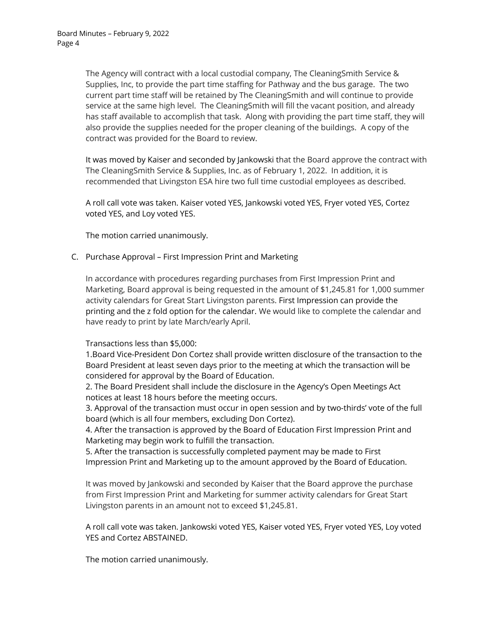The Agency will contract with a local custodial company, The CleaningSmith Service & Supplies, Inc, to provide the part time staffing for Pathway and the bus garage. The two current part time staff will be retained by The CleaningSmith and will continue to provide service at the same high level. The CleaningSmith will fill the vacant position, and already has staff available to accomplish that task. Along with providing the part time staff, they will also provide the supplies needed for the proper cleaning of the buildings. A copy of the contract was provided for the Board to review.

It was moved by Kaiser and seconded by Jankowski that the Board approve the contract with The CleaningSmith Service & Supplies, Inc. as of February 1, 2022. In addition, it is recommended that Livingston ESA hire two full time custodial employees as described.

A roll call vote was taken. Kaiser voted YES, Jankowski voted YES, Fryer voted YES, Cortez voted YES, and Loy voted YES.

The motion carried unanimously.

#### C. Purchase Approval – First Impression Print and Marketing

In accordance with procedures regarding purchases from First Impression Print and Marketing, Board approval is being requested in the amount of \$1,245.81 for 1,000 summer activity calendars for Great Start Livingston parents. First Impression can provide the printing and the z fold option for the calendar. We would like to complete the calendar and have ready to print by late March/early April.

#### Transactions less than \$5,000:

1.Board Vice-President Don Cortez shall provide written disclosure of the transaction to the Board President at least seven days prior to the meeting at which the transaction will be considered for approval by the Board of Education.

2. The Board President shall include the disclosure in the Agency's Open Meetings Act notices at least 18 hours before the meeting occurs.

3. Approval of the transaction must occur in open session and by two-thirds' vote of the full board (which is all four members, excluding Don Cortez).

4. After the transaction is approved by the Board of Education First Impression Print and Marketing may begin work to fulfill the transaction.

5. After the transaction is successfully completed payment may be made to First Impression Print and Marketing up to the amount approved by the Board of Education.

It was moved by Jankowski and seconded by Kaiser that the Board approve the purchase from First Impression Print and Marketing for summer activity calendars for Great Start Livingston parents in an amount not to exceed \$1,245.81.

A roll call vote was taken. Jankowski voted YES, Kaiser voted YES, Fryer voted YES, Loy voted YES and Cortez ABSTAINED.

The motion carried unanimously.